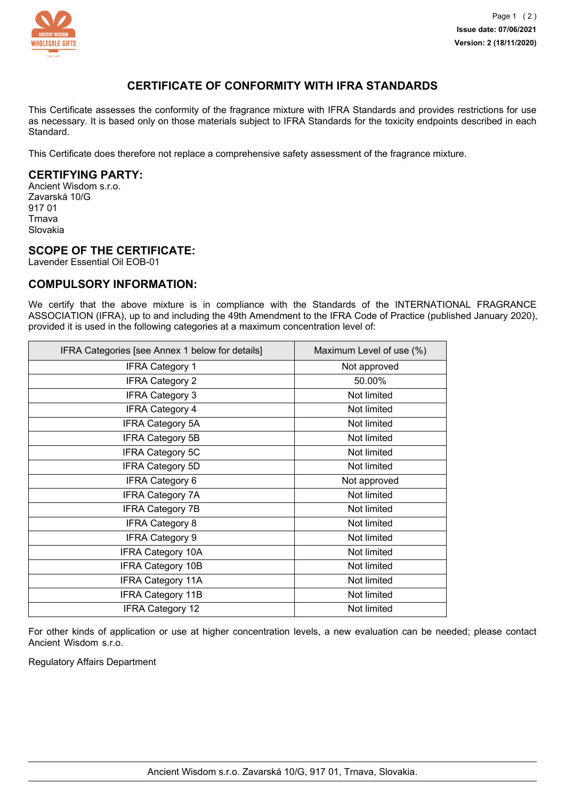

# **CERTIFICATE OF CONFORMITY WITH IFRA STANDARDS**

This Certificate assesses the conformity of the fragrance mixture with IFRA Standards and provides restrictions for use as necessary. It is based only on those materials subject to IFRA Standards for the toxicity endpoints described in each Standard.

This Certificate does therefore not replace a comprehensive safety assessment of the fragrance mixture.

## **CERTIFYING PARTY:**

Ancient Wisdom s.r.o. Zavarská 10/G 917 01 Trnava Slovakia

#### **SCOPE OF THE CERTIFICATE:**

Lavender Essential Oil EOB-01

### **COMPULSORY INFORMATION:**

We certify that the above mixture is in compliance with the Standards of the INTERNATIONAL FRAGRANCE ASSOCIATION (IFRA), up to and including the 49th Amendment to the IFRA Code of Practice (published January 2020), provided it is used in the following categories at a maximum concentration level of:

| IFRA Categories [see Annex 1 below for details] | Maximum Level of use (%) |
|-------------------------------------------------|--------------------------|
| <b>IFRA Category 1</b>                          | Not approved             |
| <b>IFRA Category 2</b>                          | 50.00%                   |
| <b>IFRA Category 3</b>                          | Not limited              |
| <b>IFRA Category 4</b>                          | Not limited              |
| <b>IFRA Category 5A</b>                         | Not limited              |
| <b>IFRA Category 5B</b>                         | Not limited              |
| <b>IFRA Category 5C</b>                         | Not limited              |
| <b>IFRA Category 5D</b>                         | Not limited              |
| <b>IFRA Category 6</b>                          | Not approved             |
| <b>IFRA Category 7A</b>                         | Not limited              |
| <b>IFRA Category 7B</b>                         | Not limited              |
| <b>IFRA Category 8</b>                          | Not limited              |
| <b>IFRA Category 9</b>                          | Not limited              |
| <b>IFRA Category 10A</b>                        | Not limited              |
| <b>IFRA Category 10B</b>                        | Not limited              |
| <b>IFRA Category 11A</b>                        | Not limited              |
| <b>IFRA Category 11B</b>                        | Not limited              |
| <b>IFRA Category 12</b>                         | Not limited              |

For other kinds of application or use at higher concentration levels, a new evaluation can be needed; please contact Ancient Wisdom s.r.o.

Regulatory Affairs Department